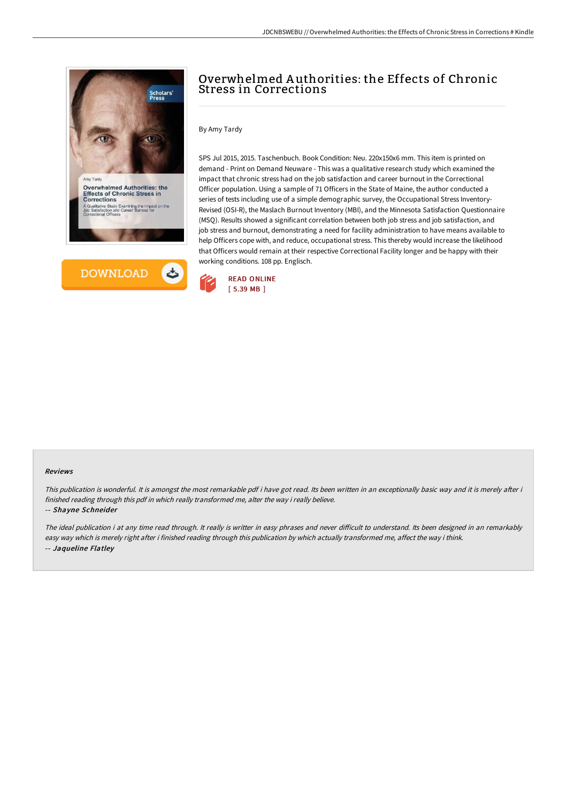



# Overwhelmed A uthorities: the Effects of Chronic Stress in Corrections

By Amy Tardy

SPS Jul 2015, 2015. Taschenbuch. Book Condition: Neu. 220x150x6 mm. This item is printed on demand - Print on Demand Neuware - This was a qualitative research study which examined the impact that chronic stress had on the job satisfaction and career burnout in the Correctional Officer population. Using a sample of 71 Officers in the State of Maine, the author conducted a series of tests including use of a simple demographic survey, the Occupational Stress Inventory-Revised (OSI-R), the Maslach Burnout Inventory (MBI), and the Minnesota Satisfaction Questionnaire (MSQ). Results showed a significant correlation between both job stress and job satisfaction, and job stress and burnout, demonstrating a need for facility administration to have means available to help Officers cope with, and reduce, occupational stress. This thereby would increase the likelihood that Officers would remain at their respective Correctional Facility longer and be happy with their working conditions. 108 pp. Englisch.



#### Reviews

This publication is wonderful. It is amongst the most remarkable pdf i have got read. Its been written in an exceptionally basic way and it is merely after i finished reading through this pdf in which really transformed me, alter the way i really believe.

#### -- Shayne Schneider

The ideal publication i at any time read through. It really is writter in easy phrases and never difficult to understand. Its been designed in an remarkably easy way which is merely right after i finished reading through this publication by which actually transformed me, affect the way i think. -- Jaqueline Flatley